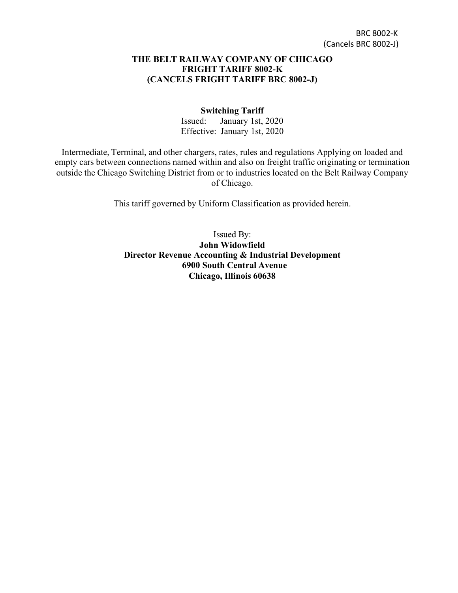#### **THE BELT RAILWAY COMPANY OF CHICAGO FRIGHT TARIFF 8002-K (CANCELS FRIGHT TARIFF BRC 8002-J)**

#### **Switching Tariff**

Issued: January 1st, 2020 Effective: January 1st, 2020

Intermediate, Terminal, and other chargers, rates, rules and regulations Applying on loaded and empty cars between connections named within and also on freight traffic originating or termination outside the Chicago Switching District from or to industries located on the Belt Railway Company of Chicago.

This tariff governed by Uniform Classification as provided herein.

Issued By: **John Widowfield Director Revenue Accounting & Industrial Development 6900 South Central Avenue Chicago, Illinois 60638**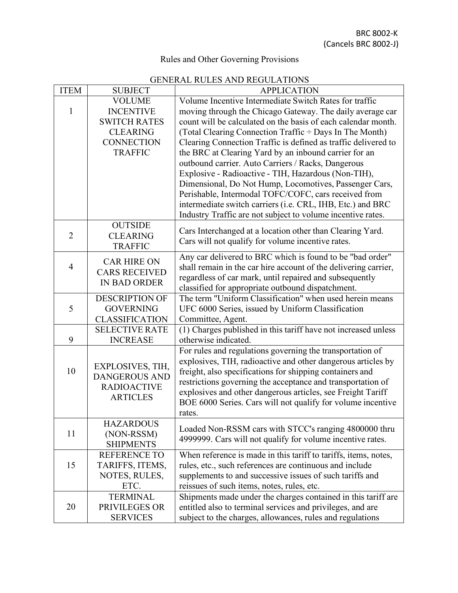# Rules and Other Governing Provisions

# GENERAL RULES AND REGULATIONS

| <b>ITEM</b>    | <b>SUBJECT</b>                            | <b>APPLICATION</b>                                                                                                        |  |  |  |
|----------------|-------------------------------------------|---------------------------------------------------------------------------------------------------------------------------|--|--|--|
|                | <b>VOLUME</b>                             | Volume Incentive Intermediate Switch Rates for traffic                                                                    |  |  |  |
| 1              | <b>INCENTIVE</b>                          | moving through the Chicago Gateway. The daily average car                                                                 |  |  |  |
|                | <b>SWITCH RATES</b>                       | count will be calculated on the basis of each calendar month.                                                             |  |  |  |
|                | <b>CLEARING</b>                           | (Total Clearing Connection Traffic ÷ Days In The Month)                                                                   |  |  |  |
|                | <b>CONNECTION</b>                         | Clearing Connection Traffic is defined as traffic delivered to                                                            |  |  |  |
|                | <b>TRAFFIC</b>                            | the BRC at Clearing Yard by an inbound carrier for an                                                                     |  |  |  |
|                |                                           | outbound carrier. Auto Carriers / Racks, Dangerous                                                                        |  |  |  |
|                |                                           | Explosive - Radioactive - TIH, Hazardous (Non-TIH),                                                                       |  |  |  |
|                |                                           | Dimensional, Do Not Hump, Locomotives, Passenger Cars,                                                                    |  |  |  |
|                |                                           | Perishable, Intermodal TOFC/COFC, cars received from                                                                      |  |  |  |
|                |                                           | intermediate switch carriers (i.e. CRL, IHB, Etc.) and BRC                                                                |  |  |  |
|                |                                           | Industry Traffic are not subject to volume incentive rates.                                                               |  |  |  |
|                | <b>OUTSIDE</b>                            | Cars Interchanged at a location other than Clearing Yard.                                                                 |  |  |  |
| $\overline{2}$ | <b>CLEARING</b>                           | Cars will not qualify for volume incentive rates.                                                                         |  |  |  |
|                | <b>TRAFFIC</b>                            |                                                                                                                           |  |  |  |
|                | <b>CAR HIRE ON</b>                        | Any car delivered to BRC which is found to be "bad order"                                                                 |  |  |  |
| $\overline{4}$ | <b>CARS RECEIVED</b>                      | shall remain in the car hire account of the delivering carrier,                                                           |  |  |  |
|                | <b>IN BAD ORDER</b>                       | regardless of car mark, until repaired and subsequently                                                                   |  |  |  |
|                |                                           | classified for appropriate outbound dispatchment.                                                                         |  |  |  |
| 5              | <b>DESCRIPTION OF</b>                     | The term "Uniform Classification" when used herein means                                                                  |  |  |  |
|                | <b>GOVERNING</b><br><b>CLASSIFICATION</b> | UFC 6000 Series, issued by Uniform Classification                                                                         |  |  |  |
|                | <b>SELECTIVE RATE</b>                     | Committee, Agent.                                                                                                         |  |  |  |
| 9              | <b>INCREASE</b>                           | (1) Charges published in this tariff have not increased unless<br>otherwise indicated.                                    |  |  |  |
|                |                                           |                                                                                                                           |  |  |  |
|                |                                           | For rules and regulations governing the transportation of<br>explosives, TIH, radioactive and other dangerous articles by |  |  |  |
| 10             | EXPLOSIVES, TIH,                          | freight, also specifications for shipping containers and                                                                  |  |  |  |
|                | <b>DANGEROUS AND</b>                      | restrictions governing the acceptance and transportation of                                                               |  |  |  |
|                | <b>RADIOACTIVE</b>                        | explosives and other dangerous articles, see Freight Tariff                                                               |  |  |  |
|                | <b>ARTICLES</b>                           | BOE 6000 Series. Cars will not qualify for volume incentive                                                               |  |  |  |
|                |                                           | rates.                                                                                                                    |  |  |  |
|                | <b>HAZARDOUS</b>                          |                                                                                                                           |  |  |  |
| 11             | (NON-RSSM)                                | Loaded Non-RSSM cars with STCC's ranging 4800000 thru                                                                     |  |  |  |
|                | <b>SHIPMENTS</b>                          | 4999999. Cars will not qualify for volume incentive rates.                                                                |  |  |  |
|                | <b>REFERENCE TO</b>                       | When reference is made in this tariff to tariffs, items, notes,                                                           |  |  |  |
| 15             | TARIFFS, ITEMS,                           | rules, etc., such references are continuous and include                                                                   |  |  |  |
|                | NOTES, RULES,                             | supplements to and successive issues of such tariffs and                                                                  |  |  |  |
|                | ETC.                                      | reissues of such items, notes, rules, etc.                                                                                |  |  |  |
|                | <b>TERMINAL</b>                           | Shipments made under the charges contained in this tariff are                                                             |  |  |  |
| 20             | PRIVILEGES OR                             | entitled also to terminal services and privileges, and are                                                                |  |  |  |
|                | <b>SERVICES</b>                           | subject to the charges, allowances, rules and regulations                                                                 |  |  |  |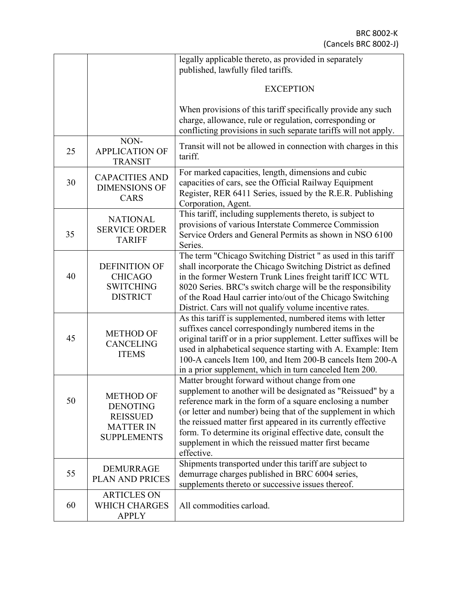|    |                                                                                                  | legally applicable thereto, as provided in separately<br>published, lawfully filed tariffs.                                                                                                                                                                                                                                                                                                                                                      |  |  |  |  |
|----|--------------------------------------------------------------------------------------------------|--------------------------------------------------------------------------------------------------------------------------------------------------------------------------------------------------------------------------------------------------------------------------------------------------------------------------------------------------------------------------------------------------------------------------------------------------|--|--|--|--|
|    |                                                                                                  |                                                                                                                                                                                                                                                                                                                                                                                                                                                  |  |  |  |  |
|    |                                                                                                  | <b>EXCEPTION</b>                                                                                                                                                                                                                                                                                                                                                                                                                                 |  |  |  |  |
|    |                                                                                                  | When provisions of this tariff specifically provide any such<br>charge, allowance, rule or regulation, corresponding or<br>conflicting provisions in such separate tariffs will not apply.                                                                                                                                                                                                                                                       |  |  |  |  |
| 25 | NON-<br><b>APPLICATION OF</b><br><b>TRANSIT</b>                                                  | Transit will not be allowed in connection with charges in this<br>tariff.                                                                                                                                                                                                                                                                                                                                                                        |  |  |  |  |
| 30 | <b>CAPACITIES AND</b><br><b>DIMENSIONS OF</b><br><b>CARS</b>                                     | For marked capacities, length, dimensions and cubic<br>capacities of cars, see the Official Railway Equipment<br>Register, RER 6411 Series, issued by the R.E.R. Publishing<br>Corporation, Agent.                                                                                                                                                                                                                                               |  |  |  |  |
| 35 | <b>NATIONAL</b><br><b>SERVICE ORDER</b><br><b>TARIFF</b>                                         | This tariff, including supplements thereto, is subject to<br>provisions of various Interstate Commerce Commission<br>Service Orders and General Permits as shown in NSO 6100<br>Series.                                                                                                                                                                                                                                                          |  |  |  |  |
| 40 | <b>DEFINITION OF</b><br><b>CHICAGO</b><br><b>SWITCHING</b><br><b>DISTRICT</b>                    | The term "Chicago Switching District" as used in this tariff<br>shall incorporate the Chicago Switching District as defined<br>in the former Western Trunk Lines freight tariff ICC WTL<br>8020 Series. BRC's switch charge will be the responsibility<br>of the Road Haul carrier into/out of the Chicago Switching<br>District. Cars will not qualify volume incentive rates.                                                                  |  |  |  |  |
| 45 | <b>METHOD OF</b><br><b>CANCELING</b><br><b>ITEMS</b>                                             | As this tariff is supplemented, numbered items with letter<br>suffixes cancel correspondingly numbered items in the<br>original tariff or in a prior supplement. Letter suffixes will be<br>used in alphabetical sequence starting with A. Example: Item<br>100-A cancels Item 100, and Item 200-B cancels Item 200-A<br>in a prior supplement, which in turn canceled Item 200.                                                                 |  |  |  |  |
| 50 | <b>METHOD OF</b><br><b>DENOTING</b><br><b>REISSUED</b><br><b>MATTER IN</b><br><b>SUPPLEMENTS</b> | Matter brought forward without change from one<br>supplement to another will be designated as "Reissued" by a<br>reference mark in the form of a square enclosing a number<br>(or letter and number) being that of the supplement in which<br>the reissued matter first appeared in its currently effective<br>form. To determine its original effective date, consult the<br>supplement in which the reissued matter first became<br>effective. |  |  |  |  |
| 55 | <b>DEMURRAGE</b><br>PLAN AND PRICES                                                              | Shipments transported under this tariff are subject to<br>demurrage charges published in BRC 6004 series,<br>supplements thereto or successive issues thereof.                                                                                                                                                                                                                                                                                   |  |  |  |  |
| 60 | <b>ARTICLES ON</b><br><b>WHICH CHARGES</b><br><b>APPLY</b>                                       | All commodities carload.                                                                                                                                                                                                                                                                                                                                                                                                                         |  |  |  |  |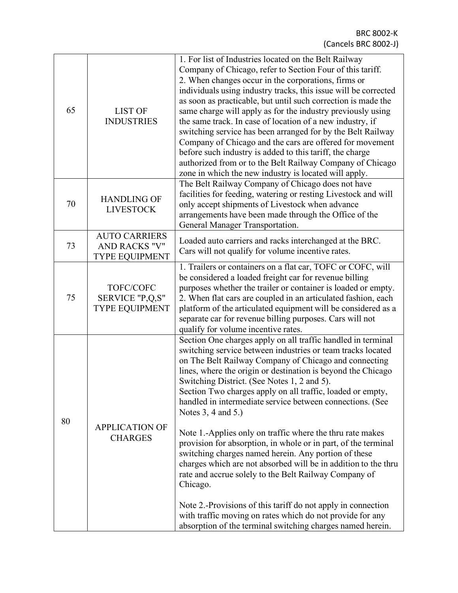| 65 | <b>LIST OF</b><br><b>INDUSTRIES</b>                                   | 1. For list of Industries located on the Belt Railway<br>Company of Chicago, refer to Section Four of this tariff.<br>2. When changes occur in the corporations, firms or<br>individuals using industry tracks, this issue will be corrected<br>as soon as practicable, but until such correction is made the<br>same charge will apply as for the industry previously using<br>the same track. In case of location of a new industry, if<br>switching service has been arranged for by the Belt Railway<br>Company of Chicago and the cars are offered for movement<br>before such industry is added to this tariff, the charge<br>authorized from or to the Belt Railway Company of Chicago<br>zone in which the new industry is located will apply.                                                                                                                                                                                                                        |  |  |  |
|----|-----------------------------------------------------------------------|-------------------------------------------------------------------------------------------------------------------------------------------------------------------------------------------------------------------------------------------------------------------------------------------------------------------------------------------------------------------------------------------------------------------------------------------------------------------------------------------------------------------------------------------------------------------------------------------------------------------------------------------------------------------------------------------------------------------------------------------------------------------------------------------------------------------------------------------------------------------------------------------------------------------------------------------------------------------------------|--|--|--|
| 70 | <b>HANDLING OF</b><br><b>LIVESTOCK</b>                                | The Belt Railway Company of Chicago does not have<br>facilities for feeding, watering or resting Livestock and will<br>only accept shipments of Livestock when advance<br>arrangements have been made through the Office of the<br>General Manager Transportation.                                                                                                                                                                                                                                                                                                                                                                                                                                                                                                                                                                                                                                                                                                            |  |  |  |
| 73 | <b>AUTO CARRIERS</b><br><b>AND RACKS "V"</b><br><b>TYPE EQUIPMENT</b> | Loaded auto carriers and racks interchanged at the BRC.<br>Cars will not qualify for volume incentive rates.                                                                                                                                                                                                                                                                                                                                                                                                                                                                                                                                                                                                                                                                                                                                                                                                                                                                  |  |  |  |
| 75 | TOFC/COFC<br>SERVICE "P,Q,S"<br><b>TYPE EQUIPMENT</b>                 | 1. Trailers or containers on a flat car, TOFC or COFC, will<br>be considered a loaded freight car for revenue billing<br>purposes whether the trailer or container is loaded or empty.<br>2. When flat cars are coupled in an articulated fashion, each<br>platform of the articulated equipment will be considered as a<br>separate car for revenue billing purposes. Cars will not<br>qualify for volume incentive rates.                                                                                                                                                                                                                                                                                                                                                                                                                                                                                                                                                   |  |  |  |
| 80 | <b>APPLICATION OF</b><br><b>CHARGES</b>                               | Section One charges apply on all traffic handled in terminal<br>switching service between industries or team tracks located<br>on The Belt Railway Company of Chicago and connecting<br>lines, where the origin or destination is beyond the Chicago<br>Switching District. (See Notes 1, 2 and 5).<br>Section Two charges apply on all traffic, loaded or empty,<br>handled in intermediate service between connections. (See<br>Notes 3, 4 and 5.)<br>Note 1.-Applies only on traffic where the thru rate makes<br>provision for absorption, in whole or in part, of the terminal<br>switching charges named herein. Any portion of these<br>charges which are not absorbed will be in addition to the thru<br>rate and accrue solely to the Belt Railway Company of<br>Chicago.<br>Note 2.-Provisions of this tariff do not apply in connection<br>with traffic moving on rates which do not provide for any<br>absorption of the terminal switching charges named herein. |  |  |  |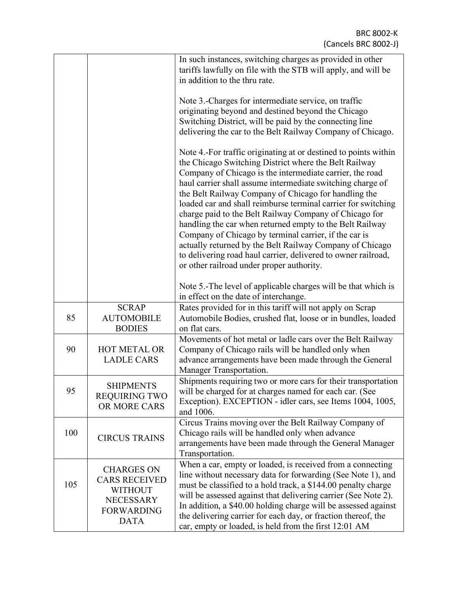|     |                                                                                                                     | In such instances, switching charges as provided in other<br>tariffs lawfully on file with the STB will apply, and will be<br>in addition to the thru rate.                                                                                                                                                                                                                                                                                                                                                                                                                                                                                                                                                                          |
|-----|---------------------------------------------------------------------------------------------------------------------|--------------------------------------------------------------------------------------------------------------------------------------------------------------------------------------------------------------------------------------------------------------------------------------------------------------------------------------------------------------------------------------------------------------------------------------------------------------------------------------------------------------------------------------------------------------------------------------------------------------------------------------------------------------------------------------------------------------------------------------|
|     |                                                                                                                     | Note 3.-Charges for intermediate service, on traffic<br>originating beyond and destined beyond the Chicago<br>Switching District, will be paid by the connecting line<br>delivering the car to the Belt Railway Company of Chicago.                                                                                                                                                                                                                                                                                                                                                                                                                                                                                                  |
|     |                                                                                                                     | Note 4.-For traffic originating at or destined to points within<br>the Chicago Switching District where the Belt Railway<br>Company of Chicago is the intermediate carrier, the road<br>haul carrier shall assume intermediate switching charge of<br>the Belt Railway Company of Chicago for handling the<br>loaded car and shall reimburse terminal carrier for switching<br>charge paid to the Belt Railway Company of Chicago for<br>handling the car when returned empty to the Belt Railway<br>Company of Chicago by terminal carrier, if the car is<br>actually returned by the Belt Railway Company of Chicago<br>to delivering road haul carrier, delivered to owner railroad,<br>or other railroad under proper authority. |
|     |                                                                                                                     | Note 5.-The level of applicable charges will be that which is<br>in effect on the date of interchange.                                                                                                                                                                                                                                                                                                                                                                                                                                                                                                                                                                                                                               |
| 85  | <b>SCRAP</b><br><b>AUTOMOBILE</b><br><b>BODIES</b>                                                                  | Rates provided for in this tariff will not apply on Scrap<br>Automobile Bodies, crushed flat, loose or in bundles, loaded<br>on flat cars.                                                                                                                                                                                                                                                                                                                                                                                                                                                                                                                                                                                           |
| 90  | <b>HOT METAL OR</b><br><b>LADLE CARS</b>                                                                            | Movements of hot metal or ladle cars over the Belt Railway<br>Company of Chicago rails will be handled only when<br>advance arrangements have been made through the General<br>Manager Transportation.                                                                                                                                                                                                                                                                                                                                                                                                                                                                                                                               |
| 95  | <b>SHIPMENTS</b><br><b>REQUIRING TWO</b><br>OR MORE CARS                                                            | Shipments requiring two or more cars for their transportation<br>will be charged for at charges named for each car. (See<br>Exception). EXCEPTION - idler cars, see Items 1004, 1005,<br>and 1006.                                                                                                                                                                                                                                                                                                                                                                                                                                                                                                                                   |
| 100 | <b>CIRCUS TRAINS</b>                                                                                                | Circus Trains moving over the Belt Railway Company of<br>Chicago rails will be handled only when advance<br>arrangements have been made through the General Manager<br>Transportation.                                                                                                                                                                                                                                                                                                                                                                                                                                                                                                                                               |
| 105 | <b>CHARGES ON</b><br><b>CARS RECEIVED</b><br><b>WITHOUT</b><br><b>NECESSARY</b><br><b>FORWARDING</b><br><b>DATA</b> | When a car, empty or loaded, is received from a connecting<br>line without necessary data for forwarding (See Note 1), and<br>must be classified to a hold track, a \$144.00 penalty charge<br>will be assessed against that delivering carrier (See Note 2).<br>In addition, a \$40.00 holding charge will be assessed against<br>the delivering carrier for each day, or fraction thereof, the<br>car, empty or loaded, is held from the first 12:01 AM                                                                                                                                                                                                                                                                            |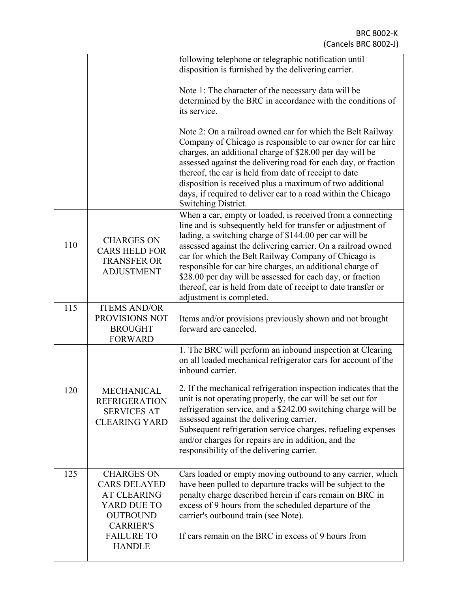|     |                                                                                                                                                            | following telephone or telegraphic notification until<br>disposition is furnished by the delivering carrier.                                                                                                                                                                                                                                                                                                                                                                                                                        |
|-----|------------------------------------------------------------------------------------------------------------------------------------------------------------|-------------------------------------------------------------------------------------------------------------------------------------------------------------------------------------------------------------------------------------------------------------------------------------------------------------------------------------------------------------------------------------------------------------------------------------------------------------------------------------------------------------------------------------|
|     |                                                                                                                                                            | Note 1: The character of the necessary data will be<br>determined by the BRC in accordance with the conditions of<br>its service.                                                                                                                                                                                                                                                                                                                                                                                                   |
|     |                                                                                                                                                            | Note 2: On a railroad owned car for which the Belt Railway<br>Company of Chicago is responsible to car owner for car hire<br>charges, an additional charge of \$28.00 per day will be<br>assessed against the delivering road for each day, or fraction<br>thereof, the car is held from date of receipt to date<br>disposition is received plus a maximum of two additional<br>days, if required to deliver car to a road within the Chicago<br>Switching District.                                                                |
| 110 | <b>CHARGES ON</b><br><b>CARS HELD FOR</b><br><b>TRANSFER OR</b><br><b>ADJUSTMENT</b>                                                                       | When a car, empty or loaded, is received from a connecting<br>line and is subsequently held for transfer or adjustment of<br>lading, a switching charge of \$144.00 per car will be<br>assessed against the delivering carrier. On a railroad owned<br>car for which the Belt Railway Company of Chicago is<br>responsible for car hire charges, an additional charge of<br>\$28.00 per day will be assessed for each day, or fraction<br>thereof, car is held from date of receipt to date transfer or<br>adjustment is completed. |
| 115 | <b>ITEMS AND/OR</b><br>PROVISIONS NOT<br><b>BROUGHT</b><br><b>FORWARD</b>                                                                                  | Items and/or provisions previously shown and not brought<br>forward are canceled.                                                                                                                                                                                                                                                                                                                                                                                                                                                   |
|     |                                                                                                                                                            | 1. The BRC will perform an inbound inspection at Clearing<br>on all loaded mechanical refrigerator cars for account of the<br>inbound carrier.                                                                                                                                                                                                                                                                                                                                                                                      |
| 120 | <b>MECHANICAL</b><br><b>REFRIGERATION</b><br><b>SERVICES AT</b><br><b>CLEARING YARD</b>                                                                    | 2. If the mechanical refrigeration inspection indicates that the<br>unit is not operating properly, the car will be set out for<br>refrigeration service, and a \$242.00 switching charge will be<br>assessed against the delivering carrier.<br>Subsequent refrigeration service charges, refueling expenses<br>and/or charges for repairs are in addition, and the<br>responsibility of the delivering carrier.                                                                                                                   |
| 125 | <b>CHARGES ON</b><br><b>CARS DELAYED</b><br><b>AT CLEARING</b><br>YARD DUE TO<br><b>OUTBOUND</b><br><b>CARRIER'S</b><br><b>FAILURE TO</b><br><b>HANDLE</b> | Cars loaded or empty moving outbound to any carrier, which<br>have been pulled to departure tracks will be subject to the<br>penalty charge described herein if cars remain on BRC in<br>excess of 9 hours from the scheduled departure of the<br>carrier's outbound train (see Note).<br>If cars remain on the BRC in excess of 9 hours from                                                                                                                                                                                       |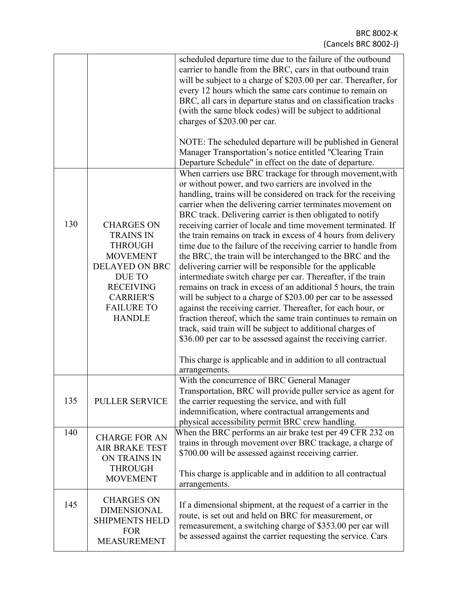|     |                                                                                                                                                                                             | scheduled departure time due to the failure of the outbound<br>carrier to handle from the BRC, cars in that outbound train<br>will be subject to a charge of \$203.00 per car. Thereafter, for<br>every 12 hours which the same cars continue to remain on<br>BRC, all cars in departure status and on classification tracks<br>(with the same block codes) will be subject to additional<br>charges of \$203.00 per car.                                                                                                                                                                                                                                                                                                                                                                                                                                                                                                                                                                                                                                                                                                                                                           |
|-----|---------------------------------------------------------------------------------------------------------------------------------------------------------------------------------------------|-------------------------------------------------------------------------------------------------------------------------------------------------------------------------------------------------------------------------------------------------------------------------------------------------------------------------------------------------------------------------------------------------------------------------------------------------------------------------------------------------------------------------------------------------------------------------------------------------------------------------------------------------------------------------------------------------------------------------------------------------------------------------------------------------------------------------------------------------------------------------------------------------------------------------------------------------------------------------------------------------------------------------------------------------------------------------------------------------------------------------------------------------------------------------------------|
|     |                                                                                                                                                                                             | NOTE: The scheduled departure will be published in General<br>Manager Transportation's notice entitled "Clearing Train<br>Departure Schedule" in effect on the date of departure.                                                                                                                                                                                                                                                                                                                                                                                                                                                                                                                                                                                                                                                                                                                                                                                                                                                                                                                                                                                                   |
| 130 | <b>CHARGES ON</b><br><b>TRAINS IN</b><br><b>THROUGH</b><br><b>MOVEMENT</b><br><b>DELAYED ON BRC</b><br>DUE TO<br><b>RECEIVING</b><br><b>CARRIER'S</b><br><b>FAILURE TO</b><br><b>HANDLE</b> | When carriers use BRC trackage for through movement, with<br>or without power, and two carriers are involved in the<br>handling, trains will be considered on track for the receiving<br>carrier when the delivering carrier terminates movement on<br>BRC track. Delivering carrier is then obligated to notify<br>receiving carrier of locale and time movement terminated. If<br>the train remains on track in excess of 4 hours from delivery<br>time due to the failure of the receiving carrier to handle from<br>the BRC, the train will be interchanged to the BRC and the<br>delivering carrier will be responsible for the applicable<br>intermediate switch charge per car. Thereafter, if the train<br>remains on track in excess of an additional 5 hours, the train<br>will be subject to a charge of \$203.00 per car to be assessed<br>against the receiving carrier. Thereafter, for each hour, or<br>fraction thereof, which the same train continues to remain on<br>track, said train will be subject to additional charges of<br>\$36.00 per car to be assessed against the receiving carrier.<br>This charge is applicable and in addition to all contractual |
| 135 | <b>PULLER SERVICE</b>                                                                                                                                                                       | arrangements.<br>With the concurrence of BRC General Manager<br>Transportation, BRC will provide puller service as agent for<br>the carrier requesting the service, and with full<br>indemnification, where contractual arrangements and<br>physical accessibility permit BRC crew handling.                                                                                                                                                                                                                                                                                                                                                                                                                                                                                                                                                                                                                                                                                                                                                                                                                                                                                        |
| 140 | <b>CHARGE FOR AN</b><br>AIR BRAKE TEST<br>ON TRAINS IN<br><b>THROUGH</b><br><b>MOVEMENT</b>                                                                                                 | When the BRC performs an air brake test per 49 CFR 232 on<br>trains in through movement over BRC trackage, a charge of<br>\$700.00 will be assessed against receiving carrier.<br>This charge is applicable and in addition to all contractual                                                                                                                                                                                                                                                                                                                                                                                                                                                                                                                                                                                                                                                                                                                                                                                                                                                                                                                                      |
| 145 | <b>CHARGES ON</b><br><b>DIMENSIONAL</b><br><b>SHIPMENTS HELD</b><br><b>FOR</b><br><b>MEASUREMENT</b>                                                                                        | arrangements.<br>If a dimensional shipment, at the request of a carrier in the<br>route, is set out and held on BRC for measurement, or<br>remeasurement, a switching charge of \$353.00 per car will<br>be assessed against the carrier requesting the service. Cars                                                                                                                                                                                                                                                                                                                                                                                                                                                                                                                                                                                                                                                                                                                                                                                                                                                                                                               |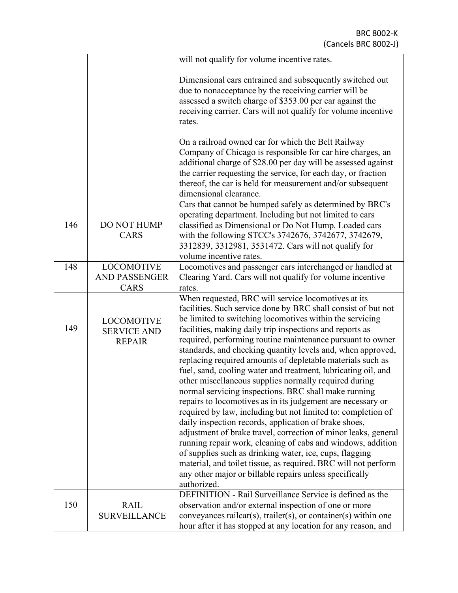|     |                                                          | will not qualify for volume incentive rates.                                                                                                                                                                                                                                                                                                                                                                                                                                                                                                                                                                                                                                                                                                                                                                                                                                                                                                                                                                                                                                                                                                              |
|-----|----------------------------------------------------------|-----------------------------------------------------------------------------------------------------------------------------------------------------------------------------------------------------------------------------------------------------------------------------------------------------------------------------------------------------------------------------------------------------------------------------------------------------------------------------------------------------------------------------------------------------------------------------------------------------------------------------------------------------------------------------------------------------------------------------------------------------------------------------------------------------------------------------------------------------------------------------------------------------------------------------------------------------------------------------------------------------------------------------------------------------------------------------------------------------------------------------------------------------------|
|     |                                                          | Dimensional cars entrained and subsequently switched out<br>due to nonacceptance by the receiving carrier will be<br>assessed a switch charge of \$353.00 per car against the<br>receiving carrier. Cars will not qualify for volume incentive<br>rates.                                                                                                                                                                                                                                                                                                                                                                                                                                                                                                                                                                                                                                                                                                                                                                                                                                                                                                  |
|     |                                                          | On a railroad owned car for which the Belt Railway<br>Company of Chicago is responsible for car hire charges, an<br>additional charge of \$28.00 per day will be assessed against<br>the carrier requesting the service, for each day, or fraction<br>thereof, the car is held for measurement and/or subsequent<br>dimensional clearance.                                                                                                                                                                                                                                                                                                                                                                                                                                                                                                                                                                                                                                                                                                                                                                                                                |
| 146 | DO NOT HUMP<br><b>CARS</b>                               | Cars that cannot be humped safely as determined by BRC's<br>operating department. Including but not limited to cars<br>classified as Dimensional or Do Not Hump. Loaded cars<br>with the following STCC's 3742676, 3742677, 3742679,<br>3312839, 3312981, 3531472. Cars will not qualify for<br>volume incentive rates.                                                                                                                                                                                                                                                                                                                                                                                                                                                                                                                                                                                                                                                                                                                                                                                                                                   |
| 148 | <b>LOCOMOTIVE</b><br><b>AND PASSENGER</b><br>CARS        | Locomotives and passenger cars interchanged or handled at<br>Clearing Yard. Cars will not qualify for volume incentive<br>rates.                                                                                                                                                                                                                                                                                                                                                                                                                                                                                                                                                                                                                                                                                                                                                                                                                                                                                                                                                                                                                          |
| 149 | <b>LOCOMOTIVE</b><br><b>SERVICE AND</b><br><b>REPAIR</b> | When requested, BRC will service locomotives at its<br>facilities. Such service done by BRC shall consist of but not<br>be limited to switching locomotives within the servicing<br>facilities, making daily trip inspections and reports as<br>required, performing routine maintenance pursuant to owner<br>standards, and checking quantity levels and, when approved,<br>replacing required amounts of depletable materials such as<br>fuel, sand, cooling water and treatment, lubricating oil, and<br>other miscellaneous supplies normally required during<br>normal servicing inspections. BRC shall make running<br>repairs to locomotives as in its judgement are necessary or<br>required by law, including but not limited to: completion of<br>daily inspection records, application of brake shoes,<br>adjustment of brake travel, correction of minor leaks, general<br>running repair work, cleaning of cabs and windows, addition<br>of supplies such as drinking water, ice, cups, flagging<br>material, and toilet tissue, as required. BRC will not perform<br>any other major or billable repairs unless specifically<br>authorized. |
| 150 | <b>RAIL</b><br><b>SURVEILLANCE</b>                       | DEFINITION - Rail Surveillance Service is defined as the<br>observation and/or external inspection of one or more<br>conveyances railcar(s), trailer(s), or container(s) within one<br>hour after it has stopped at any location for any reason, and                                                                                                                                                                                                                                                                                                                                                                                                                                                                                                                                                                                                                                                                                                                                                                                                                                                                                                      |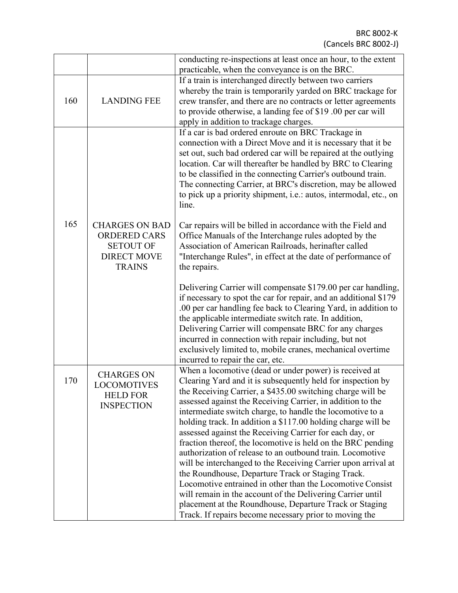|     |                                                                                                         | conducting re-inspections at least once an hour, to the extent<br>practicable, when the conveyance is on the BRC.                                                                                                                                                                                                                                                                                                                                                                                        |  |  |
|-----|---------------------------------------------------------------------------------------------------------|----------------------------------------------------------------------------------------------------------------------------------------------------------------------------------------------------------------------------------------------------------------------------------------------------------------------------------------------------------------------------------------------------------------------------------------------------------------------------------------------------------|--|--|
| 160 | <b>LANDING FEE</b>                                                                                      | If a train is interchanged directly between two carriers<br>whereby the train is temporarily yarded on BRC trackage for<br>crew transfer, and there are no contracts or letter agreements<br>to provide otherwise, a landing fee of \$19.00 per car will<br>apply in addition to trackage charges.                                                                                                                                                                                                       |  |  |
|     |                                                                                                         | If a car is bad ordered enroute on BRC Trackage in<br>connection with a Direct Move and it is necessary that it be<br>set out, such bad ordered car will be repaired at the outlying<br>location. Car will thereafter be handled by BRC to Clearing<br>to be classified in the connecting Carrier's outbound train.<br>The connecting Carrier, at BRC's discretion, may be allowed<br>to pick up a priority shipment, i.e.: autos, intermodal, etc., on<br>line.                                         |  |  |
| 165 | <b>CHARGES ON BAD</b><br><b>ORDERED CARS</b><br><b>SETOUT OF</b><br><b>DIRECT MOVE</b><br><b>TRAINS</b> | Car repairs will be billed in accordance with the Field and<br>Office Manuals of the Interchange rules adopted by the<br>Association of American Railroads, herinafter called<br>"Interchange Rules", in effect at the date of performance of<br>the repairs.                                                                                                                                                                                                                                            |  |  |
|     |                                                                                                         | Delivering Carrier will compensate \$179.00 per car handling,<br>if necessary to spot the car for repair, and an additional \$179<br>.00 per car handling fee back to Clearing Yard, in addition to<br>the applicable intermediate switch rate. In addition,<br>Delivering Carrier will compensate BRC for any charges<br>incurred in connection with repair including, but not<br>exclusively limited to, mobile cranes, mechanical overtime<br>incurred to repair the car, etc.                        |  |  |
| 170 | <b>CHARGES ON</b><br>LOCOMOTIVES<br><b>HELD FOR</b><br><b>INSPECTION</b>                                | When a locomotive (dead or under power) is received at<br>Clearing Yard and it is subsequently held for inspection by<br>the Receiving Carrier, a \$435.00 switching charge will be<br>assessed against the Receiving Carrier, in addition to the<br>intermediate switch charge, to handle the locomotive to a<br>holding track. In addition a \$117.00 holding charge will be<br>assessed against the Receiving Carrier for each day, or<br>fraction thereof, the locomotive is held on the BRC pending |  |  |
|     |                                                                                                         | authorization of release to an outbound train. Locomotive<br>will be interchanged to the Receiving Carrier upon arrival at<br>the Roundhouse, Departure Track or Staging Track.<br>Locomotive entrained in other than the Locomotive Consist<br>will remain in the account of the Delivering Carrier until<br>placement at the Roundhouse, Departure Track or Staging<br>Track. If repairs become necessary prior to moving the                                                                          |  |  |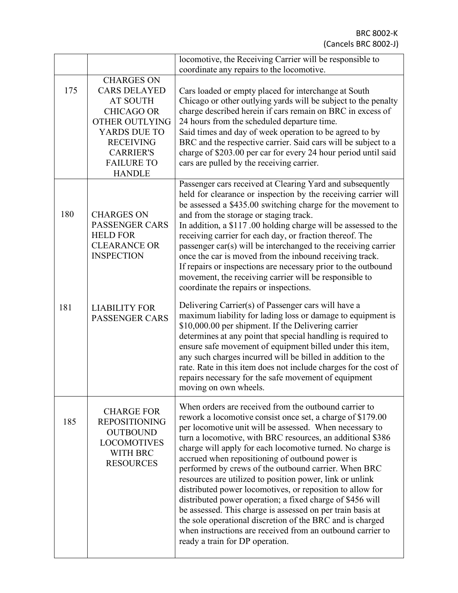|                                                                                                                                                              |                                                                                                                                                                                                  | locomotive, the Receiving Carrier will be responsible to<br>coordinate any repairs to the locomotive.                                                                                                                                                                                                                                                                                                                                                                                                                                                                                                                                                                                                                                                                                                |  |
|--------------------------------------------------------------------------------------------------------------------------------------------------------------|--------------------------------------------------------------------------------------------------------------------------------------------------------------------------------------------------|------------------------------------------------------------------------------------------------------------------------------------------------------------------------------------------------------------------------------------------------------------------------------------------------------------------------------------------------------------------------------------------------------------------------------------------------------------------------------------------------------------------------------------------------------------------------------------------------------------------------------------------------------------------------------------------------------------------------------------------------------------------------------------------------------|--|
| 175                                                                                                                                                          | <b>CHARGES ON</b><br><b>CARS DELAYED</b><br><b>AT SOUTH</b><br><b>CHICAGO OR</b><br>OTHER OUTLYING<br>YARDS DUE TO<br><b>RECEIVING</b><br><b>CARRIER'S</b><br><b>FAILURE TO</b><br><b>HANDLE</b> | Cars loaded or empty placed for interchange at South<br>Chicago or other outlying yards will be subject to the penalty<br>charge described herein if cars remain on BRC in excess of<br>24 hours from the scheduled departure time.<br>Said times and day of week operation to be agreed to by<br>BRC and the respective carrier. Said cars will be subject to a<br>charge of \$203.00 per car for every 24 hour period until said<br>cars are pulled by the receiving carrier.                                                                                                                                                                                                                                                                                                                      |  |
| 180                                                                                                                                                          | <b>CHARGES ON</b><br>PASSENGER CARS<br><b>HELD FOR</b><br><b>CLEARANCE OR</b><br><b>INSPECTION</b>                                                                                               | Passenger cars received at Clearing Yard and subsequently<br>held for clearance or inspection by the receiving carrier will<br>be assessed a \$435.00 switching charge for the movement to<br>and from the storage or staging track.<br>In addition, a \$117.00 holding charge will be assessed to the<br>receiving carrier for each day, or fraction thereof. The<br>passenger car(s) will be interchanged to the receiving carrier<br>once the car is moved from the inbound receiving track.<br>If repairs or inspections are necessary prior to the outbound<br>movement, the receiving carrier will be responsible to<br>coordinate the repairs or inspections.                                                                                                                                 |  |
| 181                                                                                                                                                          | <b>LIABILITY FOR</b><br><b>PASSENGER CARS</b>                                                                                                                                                    | Delivering Carrier(s) of Passenger cars will have a<br>maximum liability for lading loss or damage to equipment is<br>\$10,000.00 per shipment. If the Delivering carrier<br>determines at any point that special handling is required to<br>ensure safe movement of equipment billed under this item,<br>any such charges incurred will be billed in addition to the<br>rate. Rate in this item does not include charges for the cost of<br>repairs necessary for the safe movement of equipment<br>moving on own wheels.                                                                                                                                                                                                                                                                           |  |
| <b>CHARGE FOR</b><br>185<br><b>REPOSITIONING</b><br><b>OUTBOUND</b><br><b>LOCOMOTIVES</b><br>WITH BRC<br><b>RESOURCES</b><br>ready a train for DP operation. |                                                                                                                                                                                                  | When orders are received from the outbound carrier to<br>rework a locomotive consist once set, a charge of \$179.00<br>per locomotive unit will be assessed. When necessary to<br>turn a locomotive, with BRC resources, an additional \$386<br>charge will apply for each locomotive turned. No charge is<br>accrued when repositioning of outbound power is<br>performed by crews of the outbound carrier. When BRC<br>resources are utilized to position power, link or unlink<br>distributed power locomotives, or reposition to allow for<br>distributed power operation; a fixed charge of \$456 will<br>be assessed. This charge is assessed on per train basis at<br>the sole operational discretion of the BRC and is charged<br>when instructions are received from an outbound carrier to |  |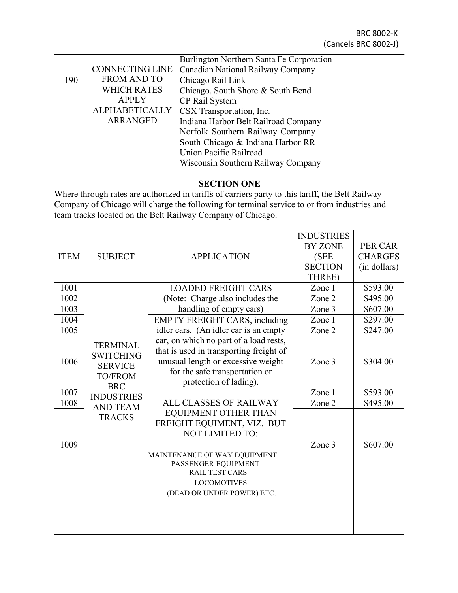|                                                         |                        | Burlington Northern Santa Fe Corporation |
|---------------------------------------------------------|------------------------|------------------------------------------|
|                                                         | <b>CONNECTING LINE</b> | Canadian National Railway Company        |
| 190                                                     | <b>FROM AND TO</b>     | Chicago Rail Link                        |
|                                                         | <b>WHICH RATES</b>     | Chicago, South Shore & South Bend        |
|                                                         | <b>APPLY</b>           | CP Rail System                           |
|                                                         | <b>ALPHABETICALLY</b>  | CSX Transportation, Inc.                 |
| <b>ARRANGED</b><br>Indiana Harbor Belt Railroad Company |                        |                                          |
| Norfolk Southern Railway Company                        |                        |                                          |
|                                                         |                        | South Chicago & Indiana Harbor RR        |
|                                                         |                        | Union Pacific Railroad                   |
|                                                         |                        | Wisconsin Southern Railway Company       |

## **SECTION ONE**

Where through rates are authorized in tariffs of carriers party to this tariff, the Belt Railway Company of Chicago will charge the following for terminal service to or from industries and team tracks located on the Belt Railway Company of Chicago.

|             |                                                                                       |                                                                                                                                                                                     | <b>INDUSTRIES</b> |                |
|-------------|---------------------------------------------------------------------------------------|-------------------------------------------------------------------------------------------------------------------------------------------------------------------------------------|-------------------|----------------|
|             |                                                                                       |                                                                                                                                                                                     | <b>BY ZONE</b>    | PER CAR        |
| <b>ITEM</b> | <b>SUBJECT</b>                                                                        | <b>APPLICATION</b>                                                                                                                                                                  | (SEE              | <b>CHARGES</b> |
|             |                                                                                       |                                                                                                                                                                                     | <b>SECTION</b>    | (in dollars)   |
|             |                                                                                       |                                                                                                                                                                                     | THREE)            |                |
| 1001        |                                                                                       | <b>LOADED FREIGHT CARS</b>                                                                                                                                                          | Zone 1            | \$593.00       |
| 1002        |                                                                                       | (Note: Charge also includes the                                                                                                                                                     | Zone 2            | \$495.00       |
| 1003        |                                                                                       | handling of empty cars)                                                                                                                                                             | Zone 3            | \$607.00       |
| 1004        |                                                                                       | <b>EMPTY FREIGHT CARS, including</b>                                                                                                                                                | Zone 1            | \$297.00       |
| 1005        |                                                                                       | idler cars. (An idler car is an empty                                                                                                                                               | Zone 2            | \$247.00       |
| 1006        | <b>TERMINAL</b><br><b>SWITCHING</b><br><b>SERVICE</b><br><b>TO/FROM</b><br><b>BRC</b> | car, on which no part of a load rests,<br>that is used in transporting freight of<br>unusual length or excessive weight<br>for the safe transportation or<br>protection of lading). | Zone 3            | \$304.00       |
| 1007        | <b>INDUSTRIES</b>                                                                     |                                                                                                                                                                                     | Zone 1            | \$593.00       |
| 1008        | <b>AND TEAM</b>                                                                       | ALL CLASSES OF RAILWAY                                                                                                                                                              | Zone 2            | \$495.00       |
|             | <b>TRACKS</b>                                                                         | EQUIPMENT OTHER THAN<br>FREIGHT EQUIMENT, VIZ. BUT<br><b>NOT LIMITED TO:</b>                                                                                                        |                   |                |
| 1009        |                                                                                       | MAINTENANCE OF WAY EQUIPMENT<br>PASSENGER EQUIPMENT<br><b>RAIL TEST CARS</b><br><b>LOCOMOTIVES</b><br>(DEAD OR UNDER POWER) ETC.                                                    | Zone 3            | \$607.00       |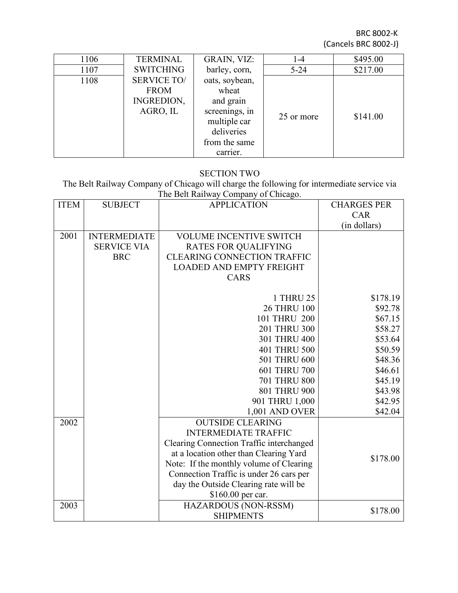| 1106 | <b>TERMINAL</b>    | GRAIN, VIZ:    | 1-4        | \$495.00 |
|------|--------------------|----------------|------------|----------|
| 1107 | <b>SWITCHING</b>   | barley, corn,  | $5 - 24$   | \$217.00 |
| 1108 | <b>SERVICE TO/</b> | oats, soybean, |            |          |
|      | <b>FROM</b>        | wheat          |            |          |
|      | INGREDION,         | and grain      |            |          |
|      | AGRO, IL           | screenings, in | 25 or more | \$141.00 |
|      |                    | multiple car   |            |          |
|      |                    | deliveries     |            |          |
|      |                    | from the same  |            |          |
|      |                    | carrier.       |            |          |

#### SECTION TWO

The Belt Railway Company of Chicago will charge the following for intermediate service via The Belt Railway Company of Chicago.

| <b>ITEM</b> | <b>SUBJECT</b>      | <b>APPLICATION</b>                              | <b>CHARGES PER</b> |
|-------------|---------------------|-------------------------------------------------|--------------------|
|             |                     |                                                 | <b>CAR</b>         |
|             |                     |                                                 | (in dollars)       |
| 2001        | <b>INTERMEDIATE</b> | <b>VOLUME INCENTIVE SWITCH</b>                  |                    |
|             | <b>SERVICE VIA</b>  | <b>RATES FOR QUALIFYING</b>                     |                    |
|             | <b>BRC</b>          | <b>CLEARING CONNECTION TRAFFIC</b>              |                    |
|             |                     | <b>LOADED AND EMPTY FREIGHT</b>                 |                    |
|             |                     | <b>CARS</b>                                     |                    |
|             |                     |                                                 |                    |
|             |                     | 1 THRU 25                                       | \$178.19           |
|             |                     | <b>26 THRU 100</b>                              | \$92.78            |
|             |                     | 101 THRU 200                                    | \$67.15            |
|             |                     | 201 THRU 300                                    | \$58.27            |
|             |                     | 301 THRU 400                                    | \$53.64            |
|             |                     | 401 THRU 500                                    | \$50.59            |
|             |                     | 501 THRU 600                                    | \$48.36            |
|             |                     | 601 THRU 700                                    | \$46.61            |
|             |                     | <b>701 THRU 800</b>                             | \$45.19            |
|             |                     | 801 THRU 900                                    | \$43.98            |
|             |                     | 901 THRU 1,000                                  | \$42.95            |
|             |                     | 1,001 AND OVER                                  | \$42.04            |
| 2002        |                     | <b>OUTSIDE CLEARING</b>                         |                    |
|             |                     | <b>INTERMEDIATE TRAFFIC</b>                     |                    |
|             |                     | <b>Clearing Connection Traffic interchanged</b> |                    |
|             |                     | at a location other than Clearing Yard          | \$178.00           |
|             |                     | Note: If the monthly volume of Clearing         |                    |
|             |                     | Connection Traffic is under 26 cars per         |                    |
|             |                     | day the Outside Clearing rate will be           |                    |
|             |                     | \$160.00 per car.                               |                    |
| 2003        |                     | HAZARDOUS (NON-RSSM)                            | \$178.00           |
|             |                     | <b>SHIPMENTS</b>                                |                    |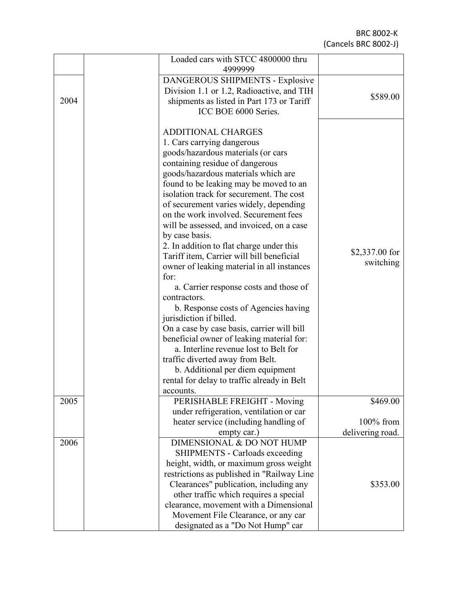|      | Loaded cars with STCC 4800000 thru<br>4999999 |                  |
|------|-----------------------------------------------|------------------|
|      | DANGEROUS SHIPMENTS - Explosive               |                  |
|      | Division 1.1 or 1.2, Radioactive, and TIH     |                  |
| 2004 | shipments as listed in Part 173 or Tariff     | \$589.00         |
|      | ICC BOE 6000 Series.                          |                  |
|      |                                               |                  |
|      | <b>ADDITIONAL CHARGES</b>                     |                  |
|      | 1. Cars carrying dangerous                    |                  |
|      | goods/hazardous materials (or cars            |                  |
|      | containing residue of dangerous               |                  |
|      | goods/hazardous materials which are           |                  |
|      | found to be leaking may be moved to an        |                  |
|      | isolation track for securement. The cost      |                  |
|      | of securement varies widely, depending        |                  |
|      | on the work involved. Securement fees         |                  |
|      | will be assessed, and invoiced, on a case     |                  |
|      | by case basis.                                |                  |
|      |                                               |                  |
|      | 2. In addition to flat charge under this      | $$2,337.00$ for  |
|      | Tariff item, Carrier will bill beneficial     | switching        |
|      | owner of leaking material in all instances    |                  |
|      | for:                                          |                  |
|      | a. Carrier response costs and those of        |                  |
|      | contractors.                                  |                  |
|      | b. Response costs of Agencies having          |                  |
|      | jurisdiction if billed.                       |                  |
|      | On a case by case basis, carrier will bill    |                  |
|      | beneficial owner of leaking material for:     |                  |
|      | a. Interline revenue lost to Belt for         |                  |
|      | traffic diverted away from Belt.              |                  |
|      | b. Additional per diem equipment              |                  |
|      | rental for delay to traffic already in Belt   |                  |
|      | accounts.                                     |                  |
| 2005 | PERISHABLE FREIGHT - Moving                   | \$469.00         |
|      | under refrigeration, ventilation or car       |                  |
|      | heater service (including handling of         | $100\%$ from     |
|      | empty car.)                                   | delivering road. |
| 2006 | DIMENSIONAL & DO NOT HUMP                     |                  |
|      | <b>SHIPMENTS - Carloads exceeding</b>         |                  |
|      | height, width, or maximum gross weight        |                  |
|      | restrictions as published in "Railway Line    |                  |
|      | Clearances" publication, including any        | \$353.00         |
|      | other traffic which requires a special        |                  |
|      | clearance, movement with a Dimensional        |                  |
|      | Movement File Clearance, or any car           |                  |
|      | designated as a "Do Not Hump" car             |                  |
|      |                                               |                  |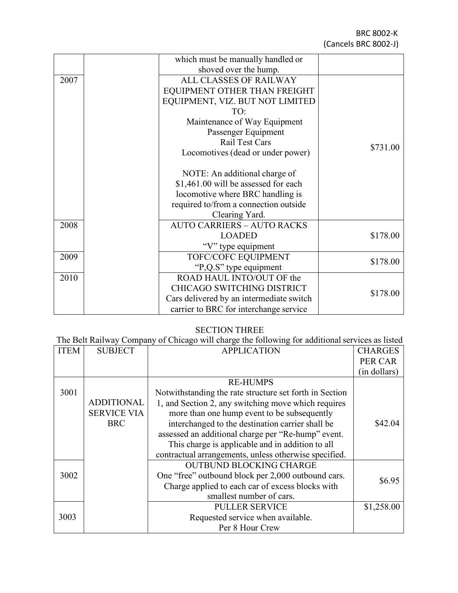|      | which must be manually handled or        |          |
|------|------------------------------------------|----------|
|      | shoved over the hump.                    |          |
| 2007 | ALL CLASSES OF RAILWAY                   |          |
|      | EQUIPMENT OTHER THAN FREIGHT             |          |
|      | EQUIPMENT, VIZ. BUT NOT LIMITED          |          |
|      | TO:                                      |          |
|      | Maintenance of Way Equipment             |          |
|      | Passenger Equipment                      |          |
|      | <b>Rail Test Cars</b>                    |          |
|      | Locomotives (dead or under power)        | \$731.00 |
|      |                                          |          |
|      | NOTE: An additional charge of            |          |
|      | \$1,461.00 will be assessed for each     |          |
|      | locomotive where BRC handling is         |          |
|      | required to/from a connection outside    |          |
|      | Clearing Yard.                           |          |
| 2008 | <b>AUTO CARRIERS - AUTO RACKS</b>        |          |
|      | <b>LOADED</b>                            | \$178.00 |
|      | "V" type equipment                       |          |
| 2009 | TOFC/COFC EQUIPMENT                      |          |
|      | "P,Q.S" type equipment                   | \$178.00 |
| 2010 | ROAD HAUL INTO/OUT OF the                |          |
|      | CHICAGO SWITCHING DISTRICT               |          |
|      | Cars delivered by an intermediate switch | \$178.00 |
|      | carrier to BRC for interchange service   |          |

#### SECTION THREE

The Belt Railway Company of Chicago will charge the following for additional services as listed

| <b>ITEM</b> | <b>SUBJECT</b>     | <b>APPLICATION</b>                                      | <b>CHARGES</b> |
|-------------|--------------------|---------------------------------------------------------|----------------|
|             |                    |                                                         | PER CAR        |
|             |                    |                                                         | (in dollars)   |
|             |                    | <b>RE-HUMPS</b>                                         |                |
| 3001        |                    | Notwithstanding the rate structure set forth in Section |                |
|             | <b>ADDITIONAL</b>  | 1, and Section 2, any switching move which requires     |                |
|             | <b>SERVICE VIA</b> | more than one hump event to be subsequently             |                |
|             | <b>BRC</b>         | interchanged to the destination carrier shall be        | \$42.04        |
|             |                    | assessed an additional charge per "Re-hump" event.      |                |
|             |                    | This charge is applicable and in addition to all        |                |
|             |                    | contractual arrangements, unless otherwise specified.   |                |
|             |                    | <b>OUTBUND BLOCKING CHARGE</b>                          |                |
| 3002        |                    | One "free" outbound block per 2,000 outbound cars.      |                |
|             |                    | Charge applied to each car of excess blocks with        | \$6.95         |
|             |                    | smallest number of cars.                                |                |
|             |                    | <b>PULLER SERVICE</b>                                   | \$1,258.00     |
| 3003        |                    | Requested service when available.                       |                |
|             |                    | Per 8 Hour Crew                                         |                |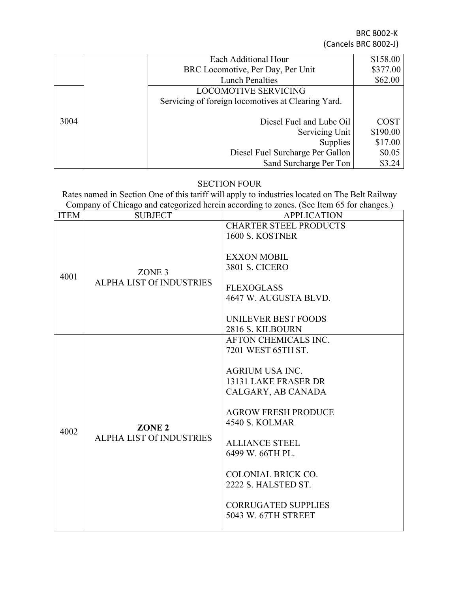|      | Each Additional Hour                               | \$158.00    |
|------|----------------------------------------------------|-------------|
|      | BRC Locomotive, Per Day, Per Unit                  | \$377.00    |
|      | <b>Lunch Penalties</b>                             | \$62.00     |
|      | <b>LOCOMOTIVE SERVICING</b>                        |             |
|      | Servicing of foreign locomotives at Clearing Yard. |             |
|      |                                                    |             |
| 3004 | Diesel Fuel and Lube Oil                           | <b>COST</b> |
|      | Servicing Unit                                     | \$190.00    |
|      | <b>Supplies</b>                                    | \$17.00     |
|      | Diesel Fuel Surcharge Per Gallon                   | \$0.05      |
|      | Sand Surcharge Per Ton                             | \$3.24      |

## SECTION FOUR

Rates named in Section One of this tariff will apply to industries located on The Belt Railway Company of Chicago and categorized herein according to zones. (See Item 65 for changes.)

| <b>ITEM</b> | <b>SUBJECT</b>                                       | <b>APPLICATION</b>                                                                                                                                                                                                                                                                                                       |
|-------------|------------------------------------------------------|--------------------------------------------------------------------------------------------------------------------------------------------------------------------------------------------------------------------------------------------------------------------------------------------------------------------------|
|             |                                                      | <b>CHARTER STEEL PRODUCTS</b><br>1600 S. KOSTNER                                                                                                                                                                                                                                                                         |
| 4001        | ZONE <sub>3</sub><br>ALPHA LIST Of INDUSTRIES        | <b>EXXON MOBIL</b><br><b>3801 S. CICERO</b><br><b>FLEXOGLASS</b><br>4647 W. AUGUSTA BLVD.<br>UNILEVER BEST FOODS<br>2816 S. KILBOURN                                                                                                                                                                                     |
| 4002        | ZONE <sub>2</sub><br><b>ALPHA LIST Of INDUSTRIES</b> | AFTON CHEMICALS INC.<br>7201 WEST 65TH ST.<br><b>AGRIUM USA INC.</b><br>13131 LAKE FRASER DR<br>CALGARY, AB CANADA<br><b>AGROW FRESH PRODUCE</b><br><b>4540 S. KOLMAR</b><br><b>ALLIANCE STEEL</b><br>6499 W. 66TH PL.<br>COLONIAL BRICK CO.<br>2222 S. HALSTED ST.<br><b>CORRUGATED SUPPLIES</b><br>5043 W. 67TH STREET |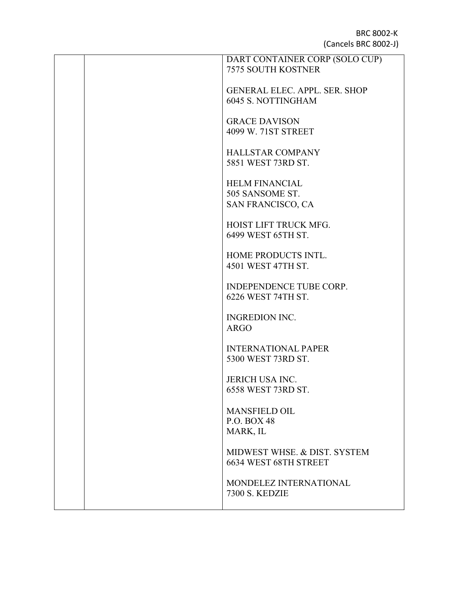|  | DART CONTAINER CORP (SOLO CUP)       |
|--|--------------------------------------|
|  | <b>7575 SOUTH KOSTNER</b>            |
|  |                                      |
|  |                                      |
|  | <b>GENERAL ELEC. APPL. SER. SHOP</b> |
|  | <b>6045 S. NOTTINGHAM</b>            |
|  |                                      |
|  | <b>GRACE DAVISON</b>                 |
|  |                                      |
|  | 4099 W. 71ST STREET                  |
|  |                                      |
|  | <b>HALLSTAR COMPANY</b>              |
|  |                                      |
|  | 5851 WEST 73RD ST.                   |
|  |                                      |
|  | <b>HELM FINANCIAL</b>                |
|  | 505 SANSOME ST.                      |
|  |                                      |
|  | SAN FRANCISCO, CA                    |
|  |                                      |
|  | HOIST LIFT TRUCK MFG.                |
|  | 6499 WEST 65TH ST.                   |
|  |                                      |
|  |                                      |
|  | HOME PRODUCTS INTL.                  |
|  | 4501 WEST 47TH ST.                   |
|  |                                      |
|  | INDEPENDENCE TUBE CORP.              |
|  |                                      |
|  | 6226 WEST 74TH ST.                   |
|  |                                      |
|  | <b>INGREDION INC.</b>                |
|  | <b>ARGO</b>                          |
|  |                                      |
|  |                                      |
|  | <b>INTERNATIONAL PAPER</b>           |
|  | 5300 WEST 73RD ST.                   |
|  |                                      |
|  |                                      |
|  | <b>JERICH USA INC.</b>               |
|  | 6558 WEST 73RD ST.                   |
|  |                                      |
|  | <b>MANSFIELD OIL</b>                 |
|  |                                      |
|  | P.O. BOX 48                          |
|  | MARK, IL                             |
|  |                                      |
|  | MIDWEST WHSE, & DIST, SYSTEM         |
|  |                                      |
|  | 6634 WEST 68TH STREET                |
|  |                                      |
|  | MONDELEZ INTERNATIONAL               |
|  | <b>7300 S. KEDZIE</b>                |
|  |                                      |
|  |                                      |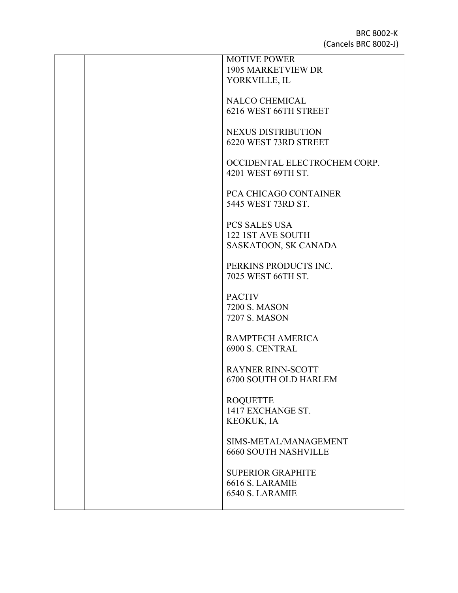| <b>MOTIVE POWER</b>          |
|------------------------------|
| <b>1905 MARKETVIEW DR</b>    |
| YORKVILLE, IL                |
|                              |
|                              |
| <b>NALCO CHEMICAL</b>        |
| 6216 WEST 66TH STREET        |
|                              |
| <b>NEXUS DISTRIBUTION</b>    |
| 6220 WEST 73RD STREET        |
|                              |
|                              |
| OCCIDENTAL ELECTROCHEM CORP. |
| 4201 WEST 69TH ST.           |
|                              |
| PCA CHICAGO CONTAINER        |
| 5445 WEST 73RD ST.           |
|                              |
|                              |
| PCS SALES USA                |
| 122 1ST AVE SOUTH            |
| SASKATOON, SK CANADA         |
|                              |
| PERKINS PRODUCTS INC.        |
|                              |
| 7025 WEST 66TH ST.           |
|                              |
| <b>PACTIV</b>                |
| <b>7200 S. MASON</b>         |
| 7207 S. MASON                |
|                              |
|                              |
| RAMPTECH AMERICA             |
| 6900 S. CENTRAL              |
|                              |
| <b>RAYNER RINN-SCOTT</b>     |
| <b>6700 SOUTH OLD HARLEM</b> |
|                              |
| <b>ROQUETTE</b>              |
|                              |
| 1417 EXCHANGE ST.            |
| <b>KEOKUK, IA</b>            |
|                              |
| SIMS-METAL/MANAGEMENT        |
| <b>6660 SOUTH NASHVILLE</b>  |
|                              |
|                              |
| <b>SUPERIOR GRAPHITE</b>     |
| 6616 S. LARAMIE              |
| 6540 S. LARAMIE              |
|                              |
|                              |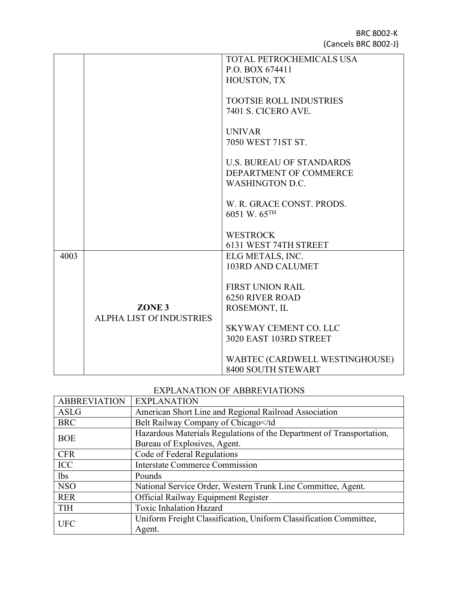|      |                                 | TOTAL PETROCHEMICALS USA        |
|------|---------------------------------|---------------------------------|
|      |                                 |                                 |
|      |                                 | P.O. BOX 674411                 |
|      |                                 | HOUSTON, TX                     |
|      |                                 |                                 |
|      |                                 | <b>TOOTSIE ROLL INDUSTRIES</b>  |
|      |                                 | <b>7401 S. CICERO AVE.</b>      |
|      |                                 |                                 |
|      |                                 |                                 |
|      |                                 | <b>UNIVAR</b>                   |
|      |                                 | 7050 WEST 71ST ST.              |
|      |                                 |                                 |
|      |                                 | <b>U.S. BUREAU OF STANDARDS</b> |
|      |                                 | DEPARTMENT OF COMMERCE          |
|      |                                 | <b>WASHINGTON D.C.</b>          |
|      |                                 |                                 |
|      |                                 | W. R. GRACE CONST. PRODS.       |
|      |                                 |                                 |
|      |                                 | 6051 W. 65TH                    |
|      |                                 |                                 |
|      |                                 | <b>WESTROCK</b>                 |
|      |                                 | 6131 WEST 74TH STREET           |
| 4003 |                                 | ELG METALS, INC.                |
|      |                                 | <b>103RD AND CALUMET</b>        |
|      |                                 |                                 |
|      |                                 | <b>FIRST UNION RAIL</b>         |
|      |                                 | <b>6250 RIVER ROAD</b>          |
|      |                                 |                                 |
|      | ZONE <sub>3</sub>               | ROSEMONT, IL                    |
|      | <b>ALPHA LIST Of INDUSTRIES</b> |                                 |
|      |                                 | <b>SKYWAY CEMENT CO. LLC</b>    |
|      |                                 | 3020 EAST 103RD STREET          |
|      |                                 |                                 |
|      |                                 | WABTEC (CARDWELL WESTINGHOUSE)  |
|      |                                 | 8400 SOUTH STEWART              |
|      |                                 |                                 |

## EXPLANATION OF ABBREVIATIONS

| <b>ABBREVIATION</b> | <b>EXPLANATION</b>                                                   |  |
|---------------------|----------------------------------------------------------------------|--|
| <b>ASLG</b>         | American Short Line and Regional Railroad Association                |  |
| <b>BRC</b>          | Belt Railway Company of Chicago                                      |  |
| <b>BOE</b>          | Hazardous Materials Regulations of the Department of Transportation, |  |
|                     | Bureau of Explosives, Agent.                                         |  |
| <b>CFR</b>          | Code of Federal Regulations                                          |  |
| <b>ICC</b>          | <b>Interstate Commerce Commission</b>                                |  |
| lbs                 | Pounds                                                               |  |
| <b>NSO</b>          | National Service Order, Western Trunk Line Committee, Agent.         |  |
| <b>RER</b>          | Official Railway Equipment Register                                  |  |
| <b>TIH</b>          | <b>Toxic Inhalation Hazard</b>                                       |  |
| <b>UFC</b>          | Uniform Freight Classification, Uniform Classification Committee,    |  |
|                     | Agent.                                                               |  |